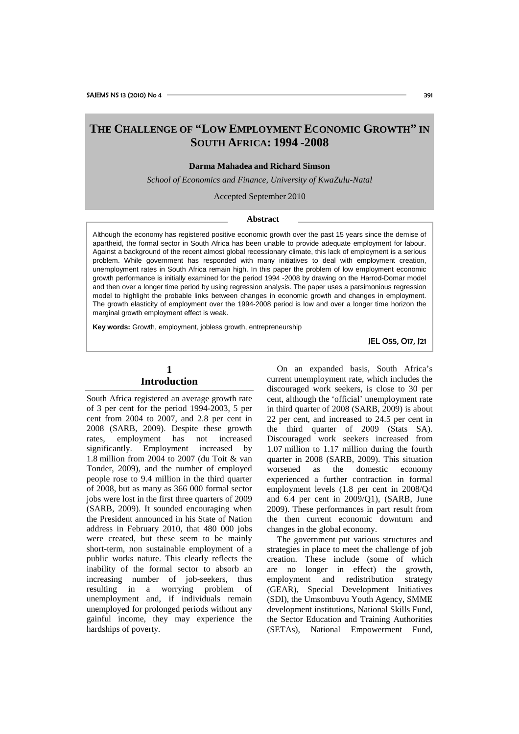# **THE CHALLENGE OF "LOW EMPLOYMENT ECONOMIC GROWTH" IN SOUTH AFRICA: 1994 -2008**

### **Darma Mahadea and Richard Simson**

*School of Economics and Finance, University of KwaZulu-Natal*

Accepted September 2010

#### **Abstract**

Although the economy has registered positive economic growth over the past 15 years since the demise of apartheid, the formal sector in South Africa has been unable to provide adequate employment for labour. Against a background of the recent almost global recessionary climate, this lack of employment is a serious problem. While government has responded with many initiatives to deal with employment creation, unemployment rates in South Africa remain high. In this paper the problem of low employment economic growth performance is initially examined for the period 1994 -2008 by drawing on the Harrod-Domar model and then over a longer time period by using regression analysis. The paper uses a parsimonious regression model to highlight the probable links between changes in economic growth and changes in employment. The growth elasticity of employment over the 1994-2008 period is low and over a longer time horizon the marginal growth employment effect is weak.

**Key words:** Growth, employment, jobless growth, entrepreneurship

JEL O55, O17, J21

## **1 Introduction**

South Africa registered an average growth rate of 3 per cent for the period 1994-2003, 5 per cent from 2004 to 2007, and 2.8 per cent in 2008 (SARB, 2009). Despite these growth rates, employment has not increased significantly. Employment increased by 1.8 million from 2004 to 2007 (du Toit & van Tonder, 2009), and the number of employed people rose to 9.4 million in the third quarter of 2008, but as many as 366 000 formal sector jobs were lost in the first three quarters of 2009 (SARB, 2009). It sounded encouraging when the President announced in his State of Nation address in February 2010, that 480 000 jobs were created, but these seem to be mainly short-term, non sustainable employment of a public works nature. This clearly reflects the inability of the formal sector to absorb an increasing number of job-seekers, thus resulting in a worrying problem of unemployment and, if individuals remain unemployed for prolonged periods without any gainful income, they may experience the hardships of poverty.

On an expanded basis, South Africa's current unemployment rate, which includes the discouraged work seekers, is close to 30 per cent, although the 'official' unemployment rate in third quarter of 2008 (SARB, 2009) is about 22 per cent, and increased to 24.5 per cent in the third quarter of 2009 (Stats SA). Discouraged work seekers increased from 1.07 million to 1.17 million during the fourth quarter in 2008 (SARB, 2009). This situation worsened as the domestic economy experienced a further contraction in formal employment levels (1.8 per cent in 2008/Q4 and 6.4 per cent in 2009/Q1), (SARB, June 2009). These performances in part result from the then current economic downturn and changes in the global economy.

The government put various structures and strategies in place to meet the challenge of job creation. These include (some of which are no longer in effect) the growth, employment and redistribution strategy (GEAR), Special Development Initiatives (SDI), the Umsombuvu Youth Agency, SMME development institutions, National Skills Fund, the Sector Education and Training Authorities (SETAs), National Empowerment Fund,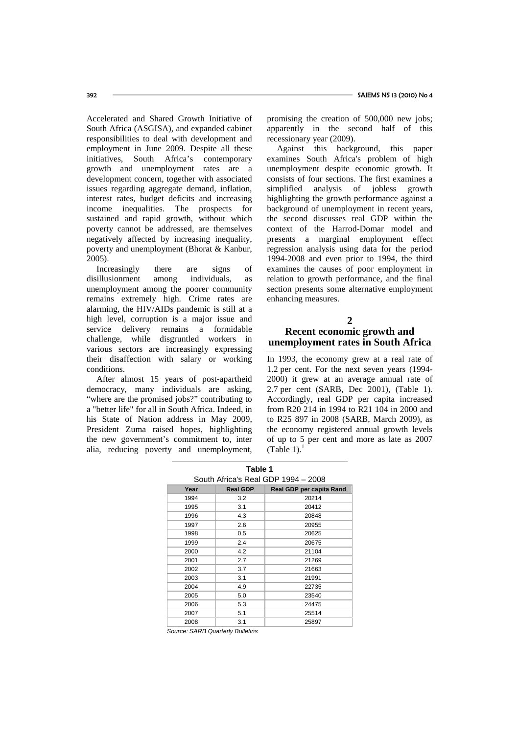Accelerated and Shared Growth Initiative of South Africa (ASGISA), and expanded cabinet responsibilities to deal with development and employment in June 2009. Despite all these initiatives, South Africa's contemporary growth and unemployment rates are a development concern, together with associated issues regarding aggregate demand, inflation, interest rates, budget deficits and increasing income inequalities. The prospects for sustained and rapid growth, without which poverty cannot be addressed, are themselves negatively affected by increasing inequality, poverty and unemployment (Bhorat & Kanbur, 2005).

Increasingly there are signs of disillusionment among individuals, as unemployment among the poorer community remains extremely high. Crime rates are alarming, the HIV/AIDs pandemic is still at a high level, corruption is a major issue and service delivery remains a formidable challenge, while disgruntled workers in various sectors are increasingly expressing their disaffection with salary or working conditions.

After almost 15 years of post-apartheid democracy, many individuals are asking. "where are the promised jobs?" contributing to a "better life" for all in South Africa. Indeed, in his State of Nation address in May 2009, President Zuma raised hopes, highlighting the new government's commitment to, inter alia, reducing poverty and unemployment, promising the creation of 500,000 new jobs; apparently in the second half of this recessionary year (2009).

Against this background, this paper examines South Africa's problem of high unemployment despite economic growth. It consists of four sections. The first examines a simplified analysis of jobless growth highlighting the growth performance against a background of unemployment in recent years, the second discusses real GDP within the context of the Harrod-Domar model and presents a marginal employment effect regression analysis using data for the period 1994-2008 and even prior to 1994, the third examines the causes of poor employment in relation to growth performance, and the final section presents some alternative employment enhancing measures.

## **2 Recent economic growth and unemployment rates in South Africa**

In 1993, the economy grew at a real rate of 1.2 per cent. For the next seven years (1994- 2000) it grew at an average annual rate of 2.7 per cent (SARB, Dec 2001), (Table 1). Accordingly, real GDP per capita increased from R20 214 in 1994 to R21 104 in 2000 and to R25 897 in 2008 (SARB, March 2009), as the economy registered annual growth levels of up to 5 per cent and more as late as 2007 (Table 1). $<sup>1</sup>$ </sup>

| Table 1                             |                                             |       |  |  |  |
|-------------------------------------|---------------------------------------------|-------|--|--|--|
| South Africa's Real GDP 1994 - 2008 |                                             |       |  |  |  |
| Year                                | Real GDP per capita Rand<br><b>Real GDP</b> |       |  |  |  |
| 1994                                | 3.2                                         | 20214 |  |  |  |
| 1995                                | 3.1                                         | 20412 |  |  |  |
| 1996                                | 4.3                                         | 20848 |  |  |  |
| 1997                                | 2.6                                         | 20955 |  |  |  |
| 1998                                | 0.5                                         | 20625 |  |  |  |
| 1999                                | 2.4                                         | 20675 |  |  |  |
| 2000                                | 4.2                                         | 21104 |  |  |  |
| 2001                                | 2.7                                         | 21269 |  |  |  |
| 2002                                | 3.7                                         | 21663 |  |  |  |
| 2003                                | 3.1                                         | 21991 |  |  |  |
| 2004                                | 4.9                                         | 22735 |  |  |  |
| 2005                                | 5.0                                         | 23540 |  |  |  |
| 2006                                | 5.3                                         | 24475 |  |  |  |
| 2007                                | 5.1                                         | 25514 |  |  |  |
| 2008                                | 3.1                                         | 25897 |  |  |  |

*Source: SARB Quarterly Bulletins*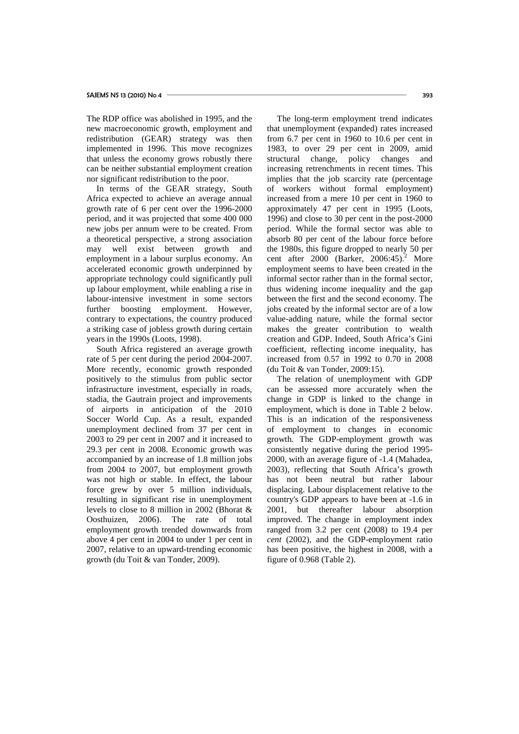The RDP office was abolished in 1995, and the new macroeconomic growth, employment and redistribution (GEAR) strategy was then implemented in 1996. This move recognizes that unless the economy grows robustly there can be neither substantial employment creation nor significant redistribution to the poor.

In terms of the GEAR strategy, South Africa expected to achieve an average annual growth rate of 6 per cent over the 1996-2000 period, and it was projected that some 400 000 new jobs per annum were to be created. From a theoretical perspective, a strong association may well exist between growth and employment in a labour surplus economy. An accelerated economic growth underpinned by appropriate technology could significantly pull up labour employment, while enabling a rise in labour-intensive investment in some sectors further boosting employment. However, contrary to expectations, the country produced a striking case of jobless growth during certain years in the 1990s (Loots, 1998).

South Africa registered an average growth rate of 5 per cent during the period 2004-2007. More recently, economic growth responded positively to the stimulus from public sector infrastructure investment, especially in roads, stadia, the Gautrain project and improvements of airports in anticipation of the 2010 Soccer World Cup. As a result, expanded unemployment declined from 37 per cent in 2003 to 29 per cent in 2007 and it increased to 29.3 per cent in 2008. Economic growth was accompanied by an increase of 1.8 million jobs from 2004 to 2007, but employment growth was not high or stable. In effect, the labour force grew by over 5 million individuals, resulting in significant rise in unemployment levels to close to 8 million in 2002 (Bhorat & Oosthuizen, 2006). The rate of total employment growth trended downwards from above 4 per cent in 2004 to under 1 per cent in 2007, relative to an upward-trending economic growth (du Toit & van Tonder, 2009).

The long-term employment trend indicates that unemployment (expanded) rates increased from 6.7 per cent in 1960 to 10.6 per cent in 1983, to over 29 per cent in 2009, amid structural change, policy changes and increasing retrenchments in recent times. This implies that the job scarcity rate (percentage) of workers without formal employment) increased from a mere 10 per cent in 1960 to approximately 47 per cent in 1995 (Loots, 1996) and close to 30 per cent in the post-2000 period. While the formal sector was able to absorb 80 per cent of the labour force before the 1980s, this figure dropped to nearly 50 per cent after  $2000$  (Barker,  $2006:45$ ).<sup>2</sup> More employment seems to have been created in the informal sector rather than in the formal sector, thus widening income inequality and the gap between the first and the second economy. The jobs created by the informal sector are of a low value-adding nature, while the formal sector makes the greater contribution to wealth creation and GDP. Indeed, South Africa's Gini coefficient, reflecting income inequality, has increased from 0.57 in 1992 to 0.70 in 2008 (du Toit & van Tonder, 2009:15).

The relation of unemployment with GDP can be assessed more accurately when the change in GDP is linked to the change in employment, which is done in Table 2 below. This is an indication of the responsiveness of employment to changes in economic growth. The GDP-employment growth was consistently negative during the period 1995- 2000, with an average figure of -1.4 (Mahadea, 2003), reflecting that South Africa's growth has not been neutral but rather labour displacing. Labour displacement relative to the country's GDP appears to have been at -1.6 in 2001, but thereafter labour absorption improved. The change in employment index ranged from 3.2 per cent (2008) to 19.4 per *cent* (2002), and the GDP-employment ratio has been positive, the highest in 2008, with a figure of 0.968 (Table 2).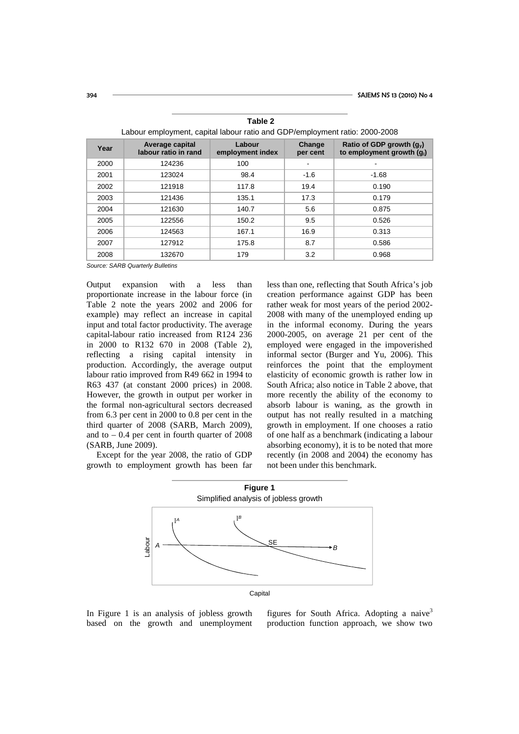| Edison Unipidymont, capital labour ratio and ODT / 011ipidymont ratio: E000 E000 |                                         |                            |                    |                                                            |  |
|----------------------------------------------------------------------------------|-----------------------------------------|----------------------------|--------------------|------------------------------------------------------------|--|
| Year                                                                             | Average capital<br>labour ratio in rand | Labour<br>employment index | Change<br>per cent | Ratio of GDP growth $(g_v)$<br>to employment growth $(q1)$ |  |
| 2000                                                                             | 124236                                  | 100                        |                    |                                                            |  |
| 2001                                                                             | 123024                                  | 98.4                       | $-1.6$             | $-1.68$                                                    |  |
| 2002                                                                             | 121918                                  | 117.8                      | 19.4               | 0.190                                                      |  |
| 2003                                                                             | 121436                                  | 135.1                      | 17.3               | 0.179                                                      |  |
| 2004                                                                             | 121630                                  | 140.7                      | 5.6                | 0.875                                                      |  |
| 2005                                                                             | 122556                                  | 150.2                      | 9.5                | 0.526                                                      |  |
| 2006                                                                             | 124563                                  | 167.1                      | 16.9               | 0.313                                                      |  |
| 2007                                                                             | 127912                                  | 175.8                      | 8.7                | 0.586                                                      |  |
| 2008                                                                             | 132670                                  | 179                        | 3.2                | 0.968                                                      |  |

**Table 2** Labour employment, capital labour ratio and GDP/employment ratio: 2000-2008

*Source: SARB Quarterly Bulletins*

Output expansion with a less than proportionate increase in the labour force (in Table 2 note the years 2002 and 2006 for example) may reflect an increase in capital input and total factor productivity. The average capital-labour ratio increased from R124 236 in 2000 to R132 670 in 2008 (Table 2), reflecting a rising capital intensity in production. Accordingly, the average output labour ratio improved from R49 662 in 1994 to R63 437 (at constant 2000 prices) in 2008. However, the growth in output per worker in the formal non-agricultural sectors decreased from 6.3 per cent in 2000 to 0.8 per cent in the third quarter of 2008 (SARB, March 2009), and to  $-0.4$  per cent in fourth quarter of 2008 (SARB, June 2009).

Except for the year 2008, the ratio of GDP growth to employment growth has been far less than one, reflecting that South Africa's job creation performance against GDP has been rather weak for most years of the period 2002- 2008 with many of the unemployed ending up in the informal economy. During the years 2000-2005, on average 21 per cent of the employed were engaged in the impoverished informal sector (Burger and Yu, 2006). This reinforces the point that the employment elasticity of economic growth is rather low in South Africa; also notice in Table 2 above, that more recently the ability of the economy to absorb labour is waning, as the growth in output has not really resulted in a matching growth in employment. If one chooses a ratio of one half as a benchmark (indicating a labour absorbing economy), it is to be noted that more recently (in 2008 and 2004) the economy has not been under this benchmark.



In Figure 1 is an analysis of jobless growth based on the growth and unemployment

figures for South Africa. Adopting a naive<sup>3</sup> production function approach, we show two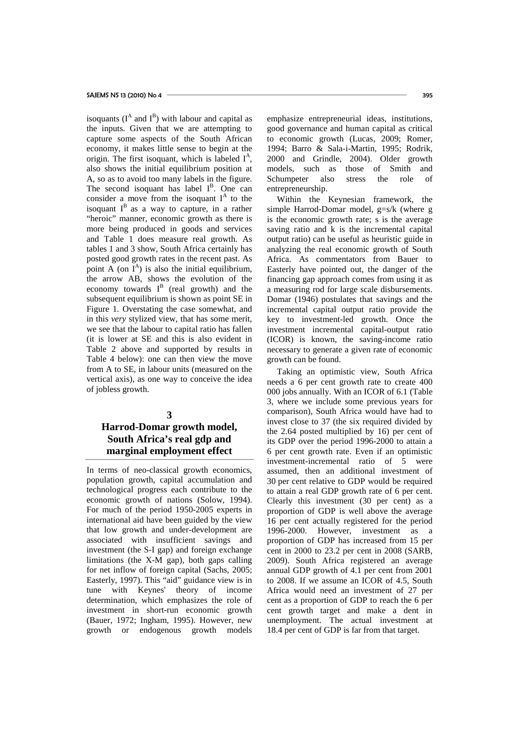isoquants  $(I^A \text{ and } I^B)$  with labour and capital as the inputs. Given that we are attempting to capture some aspects of the South African economy, it makes little sense to begin at the origin. The first isoquant, which is labeled  $I^A$ , also shows the initial equilibrium position at A, so as to avoid too many labels in the figure. The second isoquant has label  $I<sup>B</sup>$ . One can consider a move from the isoquant  $I^A$  to the isoquant  $I^B$  as a way to capture, in a rather "heroic" manner, economic growth as there is more being produced in goods and services and Table 1 does measure real growth. As tables 1 and 3 show, South Africa certainly has posted good growth rates in the recent past. As point A (on  $I^A$ ) is also the initial equilibrium, the arrow AB, shows the evolution of the economy towards  $I^B$  (real growth) and the subsequent equilibrium is shown as point SE in Figure 1. Overstating the case somewhat, and in this *very* stylized view, that has some merit, we see that the labour to capital ratio has fallen (it is lower at SE and this is also evident in Table 2 above and supported by results in Table 4 below): one can then view the move from A to SE, in labour units (measured on the vertical axis), as one way to conceive the idea of jobless growth.

### **3**

## **Harrod-Domar growth model, South Africa's real gdp and marginal employment effect**

In terms of neo-classical growth economics, population growth, capital accumulation and technological progress each contribute to the economic growth of nations (Solow, 1994). For much of the period 1950-2005 experts in international aid have been guided by the view that low growth and under-development are associated with insufficient savings and investment (the S-I gap) and foreign exchange limitations (the X-M gap), both gaps calling for net inflow of foreign capital (Sachs, 2005; Easterly, 1997). This "aid" guidance view is in tune with Keynes' theory of income determination, which emphasizes the role of investment in short-run economic growth (Bauer, 1972; Ingham, 1995). However, new growth or endogenous growth models

emphasize entrepreneurial ideas, institutions, good governance and human capital as critical to economic growth (Lucas, 2009; Romer, 1994; Barro & Sala-i-Martin, 1995; Rodrik, 2000 and Grindle, 2004). Older growth models, such as those of Smith and Schumpeter also stress the role of entrepreneurship.

Within the Keynesian framework, the simple Harrod-Domar model, g=s/k (where g is the economic growth rate; s is the average saving ratio and k is the incremental capital output ratio) can be useful as heuristic guide in analyzing the real economic growth of South Africa. As commentators from Bauer to Easterly have pointed out, the danger of the financing gap approach comes from using it as a measuring rod for large scale disbursements. Domar (1946) postulates that savings and the incremental capital output ratio provide the key to investment-led growth. Once the investment incremental capital-output ratio (ICOR) is known, the saving-income ratio necessary to generate a given rate of economic growth can be found.

Taking an optimistic view, South Africa needs a 6 per cent growth rate to create 400 000 jobs annually. With an ICOR of 6.1 (Table 3, where we include some previous years for comparison), South Africa would have had to invest close to 37 (the six required divided by the 2.64 posted multiplied by 16) per cent of its GDP over the period 1996-2000 to attain a 6 per cent growth rate. Even if an optimistic investment-incremental ratio of 5 were assumed, then an additional investment of 30 per cent relative to GDP would be required to attain a real GDP growth rate of 6 per cent. Clearly this investment (30 per cent) as a proportion of GDP is well above the average 16 per cent actually registered for the period 1996-2000. However, investment as a proportion of GDP has increased from 15 per cent in 2000 to 23.2 per cent in 2008 (SARB, 2009). South Africa registered an average annual GDP growth of 4.1 per cent from 2001 to 2008. If we assume an ICOR of 4.5, South Africa would need an investment of 27 per cent as a proportion of GDP to reach the 6 per cent growth target and make a dent in unemployment. The actual investment at 18.4 per cent of GDP is far from that target.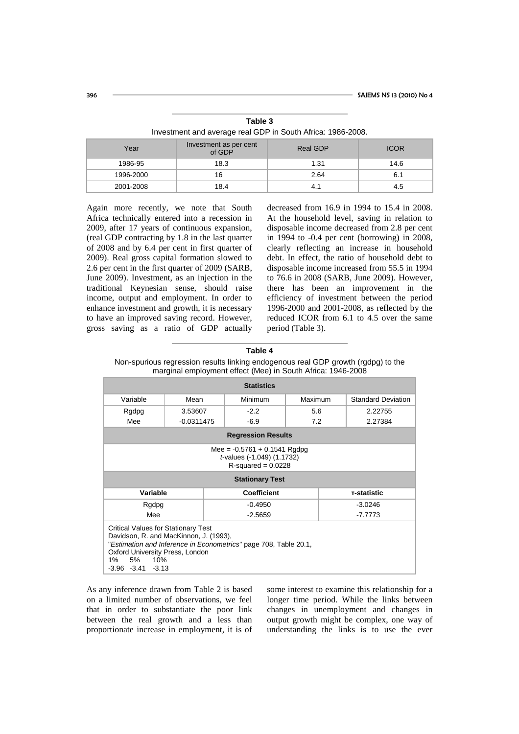| Year      | Investment as per cent<br>of GDP | <b>Real GDP</b> | <b>ICOR</b> |  |
|-----------|----------------------------------|-----------------|-------------|--|
| 1986-95   | 18.3                             | 1.31            | 14.6        |  |
| 1996-2000 | 16                               | 2.64            | 6.1         |  |
| 2001-2008 | 18.4                             |                 | 4.5         |  |

**Table 3** Investment and average real GDP in South Africa: 1986-2008.

Again more recently, we note that South Africa technically entered into a recession in 2009, after 17 years of continuous expansion, (real GDP contracting by 1.8 in the last quarter of 2008 and by 6.4 per cent in first quarter of 2009). Real gross capital formation slowed to 2.6 per cent in the first quarter of 2009 (SARB, June 2009). Investment, as an injection in the traditional Keynesian sense, should raise income, output and employment. In order to enhance investment and growth, it is necessary to have an improved saving record. However, gross saving as a ratio of GDP actually

decreased from 16.9 in 1994 to 15.4 in 2008. At the household level, saving in relation to disposable income decreased from 2.8 per cent in 1994 to -0.4 per cent (borrowing) in 2008, clearly reflecting an increase in household debt. In effect, the ratio of household debt to disposable income increased from 55.5 in 1994 to 76.6 in 2008 (SARB, June 2009). However, there has been an improvement in the efficiency of investment between the period 1996-2000 and 2001-2008, as reflected by the reduced ICOR from 6.1 to 4.5 over the same period (Table 3).

|                                                                                                                             |                                        | marginal employment effect (Mee) in South Africa: 1946-2008      |         |             |                           |
|-----------------------------------------------------------------------------------------------------------------------------|----------------------------------------|------------------------------------------------------------------|---------|-------------|---------------------------|
| <b>Statistics</b>                                                                                                           |                                        |                                                                  |         |             |                           |
| Variable                                                                                                                    | Mean                                   | Minimum                                                          | Maximum |             | <b>Standard Deviation</b> |
| Rgdpg                                                                                                                       | 3.53607                                | $-2.2$                                                           | 5.6     |             | 2.22755                   |
| Mee                                                                                                                         | $-0.0311475$                           | $-6.9$                                                           | 7.2     |             | 2.27384                   |
| <b>Regression Results</b>                                                                                                   |                                        |                                                                  |         |             |                           |
| Mee = $-0.5761 + 0.1541$ Rgdpg<br>t-values (-1.049) (1.1732)<br>$R$ -squared = 0.0228                                       |                                        |                                                                  |         |             |                           |
| <b>Stationary Test</b>                                                                                                      |                                        |                                                                  |         |             |                           |
| Variable                                                                                                                    |                                        | <b>Coefficient</b>                                               |         | T-statistic |                           |
| Rgdpg                                                                                                                       |                                        | $-0.4950$                                                        |         | $-3.0246$   |                           |
| Mee                                                                                                                         |                                        | $-2.5659$                                                        |         |             | $-7.7773$                 |
| <b>Critical Values for Stationary Test</b><br>Oxford University Press, London<br>5%<br>1%<br>10%<br>$-3.96$ $-3.41$ $-3.13$ | Davidson, R. and MacKinnon, J. (1993), | "Estimation and Inference in Econometrics" page 708, Table 20.1, |         |             |                           |

**Table 4** Non-spurious regression results linking endogenous real GDP growth (rgdpg) to the

As any inference drawn from Table 2 is based on a limited number of observations, we feel that in order to substantiate the poor link between the real growth and a less than proportionate increase in employment, it is of some interest to examine this relationship for a longer time period. While the links between changes in unemployment and changes in output growth might be complex, one way of understanding the links is to use the ever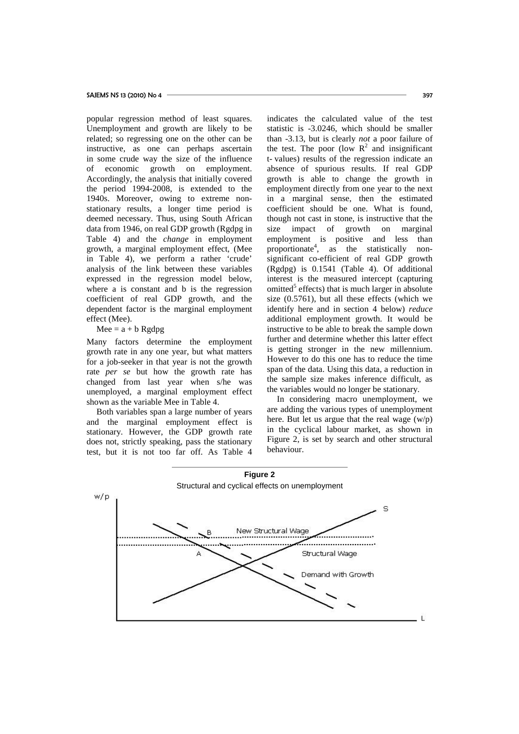popular regression method of least squares. Unemployment and growth are likely to be related; so regressing one on the other can be instructive, as one can perhaps ascertain in some crude way the size of the influence of economic growth on employment. Accordingly, the analysis that initially covered the period 1994-2008, is extended to the 1940s. Moreover, owing to extreme nonstationary results, a longer time period is deemed necessary. Thus, using South African data from 1946, on real GDP growth (Rgdpg in Table 4) and the *change* in employment growth, a marginal employment effect, (Mee in Table 4), we perform a rather 'crude' analysis of the link between these variables expressed in the regression model below, where a is constant and b is the regression coefficient of real GDP growth, and the dependent factor is the marginal employment effect (Mee).

### $Mee = a + b$  Rgdpg

Many factors determine the employment growth rate in any one year, but what matters for a job-seeker in that year is not the growth rate *per se* but how the growth rate has changed from last year when s/he was unemployed, a marginal employment effect shown as the variable Mee in Table 4.

Both variables span a large number of years and the marginal employment effect is stationary. However, the GDP growth rate does not, strictly speaking, pass the stationary test, but it is not too far off. As Table 4 indicates the calculated value of the test statistic is -3.0246, which should be smaller than -3.13, but is clearly *not* a poor failure of the test. The poor (low  $R^2$  and insignificant t- values) results of the regression indicate an absence of spurious results. If real GDP growth is able to change the growth in employment directly from one year to the next in a marginal sense, then the estimated coefficient should be one. What is found, though not cast in stone, is instructive that the impact of growth on marginal employment is positive and less than proportionate<sup>4</sup>, as the statistically nonsignificant co-efficient of real GDP growth (Rgdpg) is 0.1541 (Table 4). Of additional interest is the measured intercept (capturing omitted $5$  effects) that is much larger in absolute size (0.5761), but all these effects (which we identify here and in section 4 below) *reduce* additional employment growth. It would be instructive to be able to break the sample down further and determine whether this latter effect is getting stronger in the new millennium. However to do this one has to reduce the time span of the data. Using this data, a reduction in the sample size makes inference difficult, as the variables would no longer be stationary.

In considering macro unemployment, we are adding the various types of unemployment here. But let us argue that the real wage (w/p) in the cyclical labour market, as shown in Figure 2, is set by search and other structural behaviour.

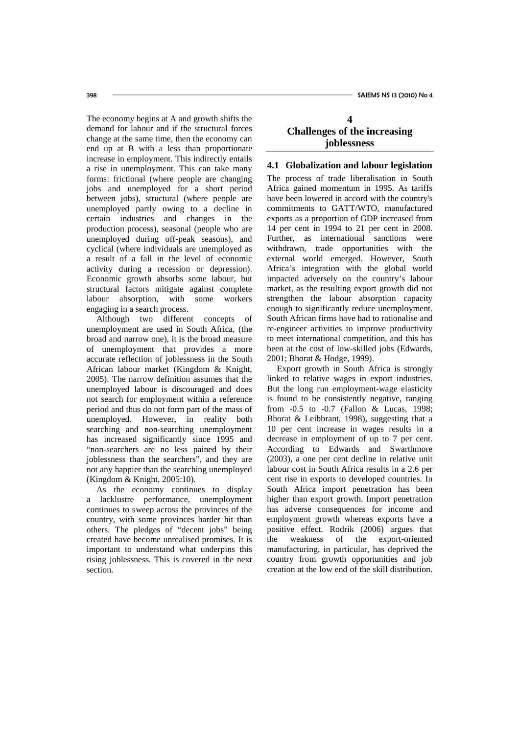The economy begins at A and growth shifts the demand for labour and if the structural forces change at the same time, then the economy can end up at B with a less than proportionate increase in employment. This indirectly entails a rise in unemployment. This can take many forms: frictional (where people are changing jobs and unemployed for a short period between jobs), structural (where people are unemployed partly owing to a decline in certain industries and changes in the production process), seasonal (people who are unemployed during off-peak seasons), and cyclical (where individuals are unemployed as a result of a fall in the level of economic activity during a recession or depression). Economic growth absorbs some labour, but structural factors mitigate against complete labour absorption, with some workers engaging in a search process.

Although two different concepts of unemployment are used in South Africa, (the broad and narrow one), it is the broad measure of unemployment that provides a more accurate reflection of joblessness in the South African labour market (Kingdom & Knight, 2005). The narrow definition assumes that the unemployed labour is discouraged and does not search for employment within a reference period and thus do not form part of the mass of unemployed. However, in reality both searching and non-searching unemployment has increased significantly since 1995 and "non-searchers are no less pained by their joblessness than the searchers", and they are not any happier than the searching unemployed (Kingdom & Knight, 2005:10).

As the economy continues to display a lacklustre performance, unemployment continues to sweep across the provinces of the country, with some provinces harder hit than others. The pledges of "decent jobs" being created have become unrealised promises. It is important to understand what underpins this rising joblessness. This is covered in the next section.

## **4 Challenges of the increasing joblessness**

### **4.1 Globalization and labour legislation**

The process of trade liberalisation in South Africa gained momentum in 1995. As tariffs have been lowered in accord with the country's commitments to GATT/WTO, manufactured exports as a proportion of GDP increased from 14 per cent in 1994 to 21 per cent in 2008. Further, as international sanctions were withdrawn, trade opportunities with the external world emerged. However, South Africa's integration with the global world impacted adversely on the country's labour market, as the resulting export growth did not strengthen the labour absorption capacity enough to significantly reduce unemployment. South African firms have had to rationalise and re-engineer activities to improve productivity to meet international competition, and this has been at the cost of low-skilled jobs (Edwards, 2001; Bhorat & Hodge, 1999).

Export growth in South Africa is strongly linked to relative wages in export industries. But the long run employment-wage elasticity is found to be consistently negative, ranging from -0.5 to -0.7 (Fallon & Lucas, 1998; Bhorat & Leibbrant, 1998), suggesting that a 10 per cent increase in wages results in a decrease in employment of up to 7 per cent. According to Edwards and Swarthmore (2003), a one per cent decline in relative unit labour cost in South Africa results in a 2.6 per cent rise in exports to developed countries. In South Africa import penetration has been higher than export growth. Import penetration has adverse consequences for income and employment growth whereas exports have a positive effect. Rodrik (2006) argues that weakness of the export-oriented manufacturing, in particular, has deprived the country from growth opportunities and job creation at the low end of the skill distribution.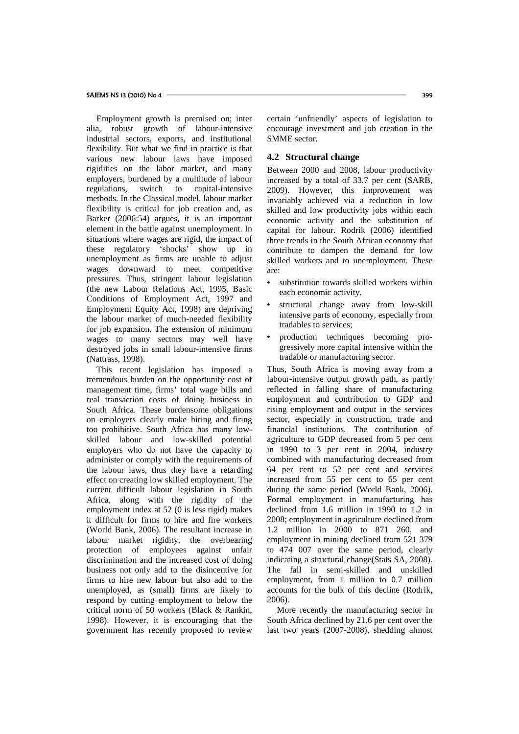Employment growth is premised on; inter alia, robust growth of labour-intensive industrial sectors, exports, and institutional flexibility. But what we find in practice is that various new labour laws have imposed rigidities on the labor market, and many employers, burdened by a multitude of labour regulations, switch to capital-intensive methods. In the Classical model, labour market flexibility is critical for job creation and, as Barker (2006:54) argues, it is an important element in the battle against unemployment. In situations where wages are rigid, the impact of these regulatory 'shocks' show up in unemployment as firms are unable to adjust wages downward to meet competitive pressures. Thus, stringent labour legislation (the new Labour Relations Act, 1995, Basic Conditions of Employment Act, 1997 and Employment Equity Act, 1998) are depriving the labour market of much-needed flexibility for job expansion. The extension of minimum wages to many sectors may well have destroyed jobs in small labour-intensive firms (Nattrass, 1998).

This recent legislation has imposed a tremendous burden on the opportunity cost of management time, firms' total wage bills and real transaction costs of doing business in South Africa. These burdensome obligations on employers clearly make hiring and firing too prohibitive. South Africa has many lowskilled labour and low-skilled potential employers who do not have the capacity to administer or comply with the requirements of the labour laws, thus they have a retarding effect on creating low skilled employment. The current difficult labour legislation in South Africa, along with the rigidity of the employment index at 52 (0 is less rigid) makes it difficult for firms to hire and fire workers (World Bank, 2006). The resultant increase in labour market rigidity, the overbearing protection of employees against unfair discrimination and the increased cost of doing business not only add to the disincentive for firms to hire new labour but also add to the unemployed, as (small) firms are likely to respond by cutting employment to below the critical norm of 50 workers (Black & Rankin, 1998). However, it is encouraging that the government has recently proposed to review

certain 'unfriendly' aspects of legislation to encourage investment and job creation in the SMME sector.

### **4.2 Structural change**

Between 2000 and 2008, labour productivity increased by a total of 33.7 per cent (SARB, 2009). However, this improvement was invariably achieved via a reduction in low skilled and low productivity jobs within each economic activity and the substitution of capital for labour. Rodrik (2006) identified three trends in the South African economy that contribute to dampen the demand for low skilled workers and to unemployment. These are:

- substitution towards skilled workers within each economic activity,
- structural change away from low-skill intensive parts of economy, especially from tradables to services;
- production techniques becoming progressively more capital intensive within the tradable or manufacturing sector.

Thus, South Africa is moving away from a labour-intensive output growth path, as partly reflected in falling share of manufacturing employment and contribution to GDP and rising employment and output in the services sector, especially in construction, trade and financial institutions. The contribution of agriculture to GDP decreased from 5 per cent in 1990 to 3 per cent in 2004, industry combined with manufacturing decreased from 64 per cent to 52 per cent and services increased from 55 per cent to 65 per cent during the same period (World Bank, 2006). Formal employment in manufacturing has declined from 1.6 million in 1990 to 1.2 in 2008; employment in agriculture declined from 1.2 million in 2000 to 871 260, and employment in mining declined from 521 379 to 474 007 over the same period, clearly indicating a structural change(Stats SA, 2008). The fall in semi-skilled and unskilled employment, from 1 million to 0.7 million accounts for the bulk of this decline (Rodrik, 2006).

More recently the manufacturing sector in South Africa declined by 21.6 per cent over the last two years (2007-2008), shedding almost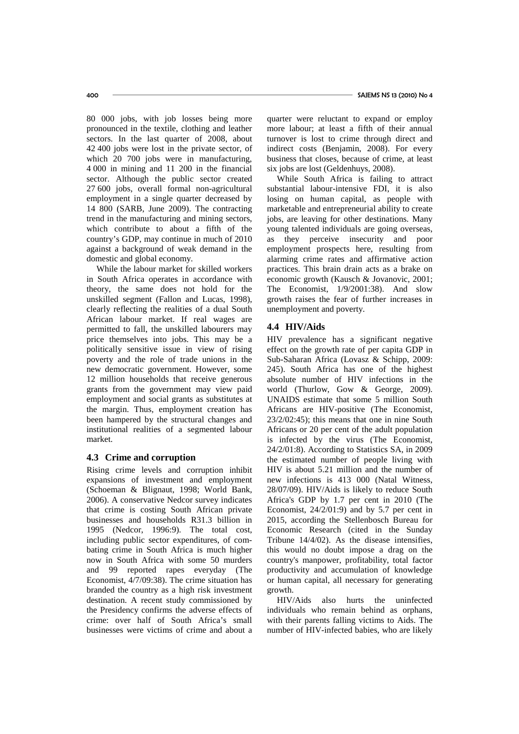80 000 jobs, with job losses being more pronounced in the textile, clothing and leather sectors. In the last quarter of 2008, about 42 400 jobs were lost in the private sector, of which 20 700 jobs were in manufacturing, 4 000 in mining and 11 200 in the financial sector. Although the public sector created 27 600 jobs, overall formal non-agricultural employment in a single quarter decreased by 14 800 (SARB, June 2009). The contracting trend in the manufacturing and mining sectors, which contribute to about a fifth of the country's GDP, may continue in much of 2010 against a background of weak demand in the domestic and global economy.

While the labour market for skilled workers in South Africa operates in accordance with theory, the same does not hold for the unskilled segment (Fallon and Lucas, 1998), clearly reflecting the realities of a dual South African labour market. If real wages are permitted to fall, the unskilled labourers may price themselves into jobs. This may be a politically sensitive issue in view of rising poverty and the role of trade unions in the new democratic government. However, some 12 million households that receive generous grants from the government may view paid employment and social grants as substitutes at the margin. Thus, employment creation has been hampered by the structural changes and institutional realities of a segmented labour market.

### **4.3 Crime and corruption**

Rising crime levels and corruption inhibit expansions of investment and employment (Schoeman & Blignaut, 1998; World Bank, 2006). A conservative Nedcor survey indicates that crime is costing South African private businesses and households R31.3 billion in 1995 (Nedcor, 1996:9). The total cost, including public sector expenditures, of combating crime in South Africa is much higher now in South Africa with some 50 murders and 99 reported rapes everyday (The Economist, 4/7/09:38). The crime situation has branded the country as a high risk investment destination. A recent study commissioned by the Presidency confirms the adverse effects of crime: over half of South Africa's small businesses were victims of crime and about a quarter were reluctant to expand or employ more labour; at least a fifth of their annual turnover is lost to crime through direct and indirect costs (Benjamin, 2008). For every business that closes, because of crime, at least six jobs are lost (Geldenhuys, 2008).

While South Africa is failing to attract substantial labour-intensive FDI, it is also losing on human capital, as people with marketable and entrepreneurial ability to create jobs, are leaving for other destinations. Many young talented individuals are going overseas, as they perceive insecurity and poor employment prospects here, resulting from alarming crime rates and affirmative action practices. This brain drain acts as a brake on economic growth (Kausch & Jovanovic, 2001; The Economist, 1/9/2001:38). And slow growth raises the fear of further increases in unemployment and poverty.

## **4.4 HIV/Aids**

HIV prevalence has a significant negative effect on the growth rate of per capita GDP in Sub-Saharan Africa (Lovasz & Schipp, 2009: 245). South Africa has one of the highest absolute number of HIV infections in the world (Thurlow, Gow & George, 2009). UNAIDS estimate that some 5 million South Africans are HIV-positive (The Economist, 23/2/02:45); this means that one in nine South Africans or 20 per cent of the adult population is infected by the virus (The Economist, 24/2/01:8). According to Statistics SA, in 2009 the estimated number of people living with HIV is about 5.21 million and the number of new infections is 413 000 (Natal Witness, 28/07/09). HIV/Aids is likely to reduce South Africa's GDP by 1.7 per cent in 2010 (The Economist, 24/2/01:9) and by 5.7 per cent in 2015, according the Stellenbosch Bureau for Economic Research (cited in the Sunday Tribune 14/4/02). As the disease intensifies, this would no doubt impose a drag on the country's manpower, profitability, total factor productivity and accumulation of knowledge or human capital, all necessary for generating growth.

HIV/Aids also hurts the uninfected individuals who remain behind as orphans, with their parents falling victims to Aids. The number of HIV-infected babies, who are likely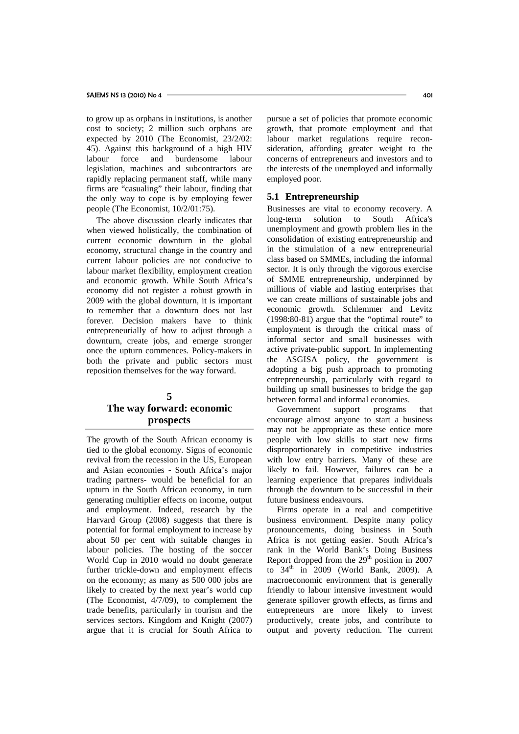to grow up as orphans in institutions, is another cost to society; 2 million such orphans are expected by 2010 (The Economist, 23/2/02: 45). Against this background of a high HIV labour force and burdensome labour legislation, machines and subcontractors are rapidly replacing permanent staff, while many firms are "casualing" their labour, finding that the only way to cope is by employing fewer people (The Economist, 10/2/01:75).

The above discussion clearly indicates that when viewed holistically, the combination of current economic downturn in the global economy, structural change in the country and current labour policies are not conducive to labour market flexibility, employment creation and economic growth. While South Africa's economy did not register a robust growth in 2009 with the global downturn, it is important to remember that a downturn does not last forever. Decision makers have to think entrepreneurially of how to adjust through a downturn, create jobs, and emerge stronger once the upturn commences. Policy-makers in both the private and public sectors must reposition themselves for the way forward.

### **5**

## **The way forward: economic prospects**

The growth of the South African economy is tied to the global economy. Signs of economic revival from the recession in the US, European and Asian economies - South Africa's major trading partners- would be beneficial for an upturn in the South African economy, in turn generating multiplier effects on income, output and employment. Indeed, research by the Harvard Group (2008) suggests that there is potential for formal employment to increase by about 50 per cent with suitable changes in labour policies. The hosting of the soccer World Cup in 2010 would no doubt generate further trickle-down and employment effects on the economy; as many as 500 000 jobs are likely to created by the next year's world cup (The Economist, 4/7/09), to complement the trade benefits, particularly in tourism and the services sectors. Kingdom and Knight (2007) argue that it is crucial for South Africa to

pursue a set of policies that promote economic growth, that promote employment and that labour market regulations require reconsideration, affording greater weight to the concerns of entrepreneurs and investors and to the interests of the unemployed and informally employed poor.

#### **5.1 Entrepreneurship**

Businesses are vital to economy recovery. A long-term solution to South Africa's unemployment and growth problem lies in the consolidation of existing entrepreneurship and in the stimulation of a new entrepreneurial class based on SMMEs, including the informal sector. It is only through the vigorous exercise of SMME entrepreneurship, underpinned by millions of viable and lasting enterprises that we can create millions of sustainable jobs and economic growth. Schlemmer and Levitz (1998:80-81) argue that the "optimal route" to employment is through the critical mass of informal sector and small businesses with active private-public support. In implementing the ASGISA policy, the government is adopting a big push approach to promoting entrepreneurship, particularly with regard to building up small businesses to bridge the gap between formal and informal economies.

Government support programs that encourage almost anyone to start a business may not be appropriate as these entice more people with low skills to start new firms disproportionately in competitive industries with low entry barriers. Many of these are likely to fail. However, failures can be a learning experience that prepares individuals through the downturn to be successful in their future business endeavours.

Firms operate in a real and competitive business environment. Despite many policy pronouncements, doing business in South Africa is not getting easier. South Africa's rank in the World Bank's Doing Business Report dropped from the  $29<sup>th</sup>$  position in 2007 to  $34<sup>th</sup>$  in 2009 (World Bank, 2009). A macroeconomic environment that is generally friendly to labour intensive investment would generate spillover growth effects, as firms and entrepreneurs are more likely to invest productively, create jobs, and contribute to output and poverty reduction. The current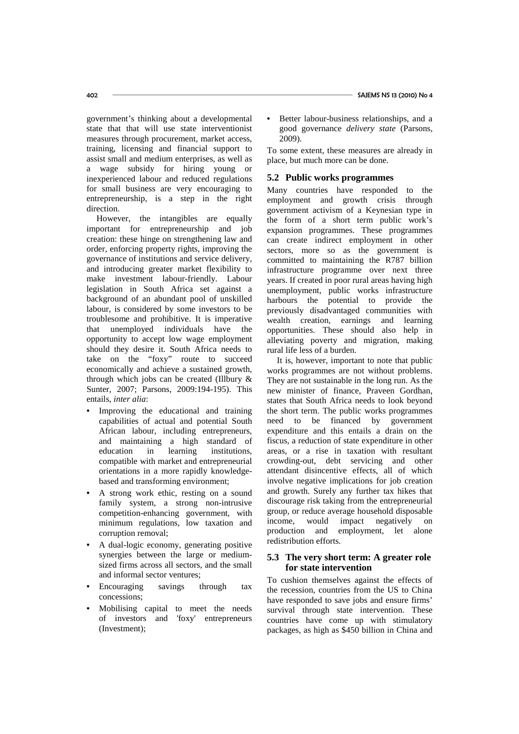government's thinking about a developmental state that that will use state interventionist measures through procurement, market access, training, licensing and financial support to assist small and medium enterprises, as well as a wage subsidy for hiring young or inexperienced labour and reduced regulations for small business are very encouraging to entrepreneurship, is a step in the right direction.

However, the intangibles are equally important for entrepreneurship and job creation: these hinge on strengthening law and order, enforcing property rights, improving the governance of institutions and service delivery, and introducing greater market flexibility to make investment labour-friendly. Labour legislation in South Africa set against a background of an abundant pool of unskilled labour, is considered by some investors to be troublesome and prohibitive. It is imperative that unemployed individuals have the opportunity to accept low wage employment should they desire it. South Africa needs to take on the "foxy" route to succeed economically and achieve a sustained growth, through which jobs can be created (Illbury & Sunter, 2007; Parsons, 2009:194-195). This entails, *inter alia*:

- Improving the educational and training capabilities of actual and potential South African labour, including entrepreneurs, and maintaining a high standard of education in learning institutions, compatible with market and entrepreneurial orientations in a more rapidly knowledgebased and transforming environment;
- A strong work ethic, resting on a sound family system, a strong non-intrusive competition-enhancing government, with minimum regulations, low taxation and corruption removal;
- A dual-logic economy, generating positive synergies between the large or mediumsized firms across all sectors, and the small and informal sector ventures;
- Encouraging savings through tax concessions;
- Mobilising capital to meet the needs of investors and 'foxy' entrepreneurs (Investment);

• Better labour-business relationships, and a good governance *delivery state* (Parsons, 2009).

To some extent, these measures are already in place, but much more can be done.

### **5.2 Public works programmes**

Many countries have responded to the employment and growth crisis through government activism of a Keynesian type in the form of a short term public work's expansion programmes. These programmes can create indirect employment in other sectors, more so as the government is committed to maintaining the R787 billion infrastructure programme over next three years. If created in poor rural areas having high unemployment, public works infrastructure harbours the potential to provide the previously disadvantaged communities with wealth creation, earnings and learning opportunities. These should also help in alleviating poverty and migration, making rural life less of a burden.

It is, however, important to note that public works programmes are not without problems. They are not sustainable in the long run. As the new minister of finance, Praveen Gordhan, states that South Africa needs to look beyond the short term. The public works programmes need to be financed by government expenditure and this entails a drain on the fiscus, a reduction of state expenditure in other areas, or a rise in taxation with resultant crowding-out, debt servicing and other attendant disincentive effects, all of which involve negative implications for job creation and growth. Surely any further tax hikes that discourage risk taking from the entrepreneurial group, or reduce average household disposable income, would impact negatively on production and employment, let alone redistribution efforts.

### **5.3 The very short term: A greater role for state intervention**

To cushion themselves against the effects of the recession, countries from the US to China have responded to save jobs and ensure firms' survival through state intervention. These countries have come up with stimulatory packages, as high as \$450 billion in China and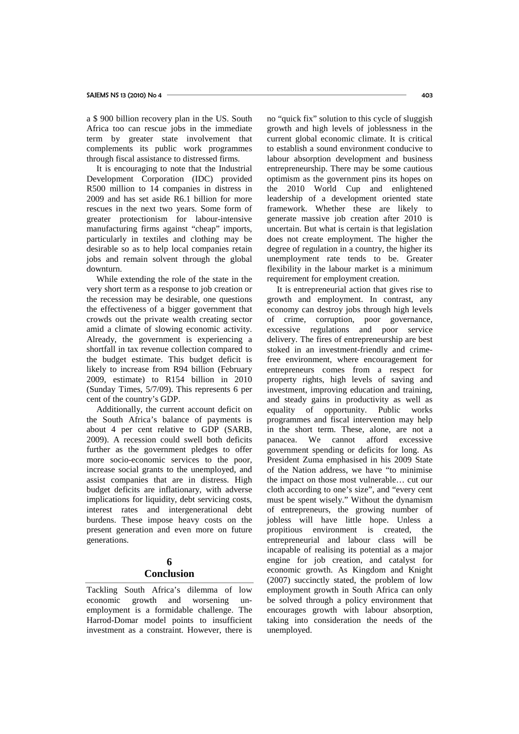a \$ 900 billion recovery plan in the US. South Africa too can rescue jobs in the immediate term by greater state involvement that complements its public work programmes through fiscal assistance to distressed firms.

It is encouraging to note that the Industrial Development Corporation (IDC) provided R500 million to 14 companies in distress in 2009 and has set aside R6.1 billion for more rescues in the next two years. Some form of greater protectionism for labour-intensive manufacturing firms against "cheap" imports, particularly in textiles and clothing may be desirable so as to help local companies retain jobs and remain solvent through the global downturn.

While extending the role of the state in the very short term as a response to job creation or the recession may be desirable, one questions the effectiveness of a bigger government that crowds out the private wealth creating sector amid a climate of slowing economic activity. Already, the government is experiencing a shortfall in tax revenue collection compared to the budget estimate. This budget deficit is likely to increase from R94 billion (February 2009, estimate) to R154 billion in 2010 (Sunday Times, 5/7/09). This represents 6 per cent of the country's GDP.

Additionally, the current account deficit on the South Africa's balance of payments is about 4 per cent relative to GDP (SARB, 2009). A recession could swell both deficits further as the government pledges to offer more socio-economic services to the poor, increase social grants to the unemployed, and assist companies that are in distress. High budget deficits are inflationary, with adverse implications for liquidity, debt servicing costs, interest rates and intergenerational debt burdens. These impose heavy costs on the present generation and even more on future generations.

## **6 Conclusion**

Tackling South Africa's dilemma of low economic growth and worsening unemployment is a formidable challenge. The Harrod-Domar model points to insufficient investment as a constraint. However, there is no "quick fix" solution to this cycle of sluggish growth and high levels of joblessness in the current global economic climate. It is critical to establish a sound environment conducive to labour absorption development and business entrepreneurship. There may be some cautious optimism as the government pins its hopes on the 2010 World Cup and enlightened leadership of a development oriented state framework. Whether these are likely to generate massive job creation after 2010 is uncertain. But what is certain is that legislation does not create employment. The higher the degree of regulation in a country, the higher its unemployment rate tends to be. Greater flexibility in the labour market is a minimum requirement for employment creation.

It is entrepreneurial action that gives rise to growth and employment. In contrast, any economy can destroy jobs through high levels of crime, corruption, poor governance, excessive regulations and poor service delivery. The fires of entrepreneurship are best stoked in an investment-friendly and crimefree environment, where encouragement for entrepreneurs comes from a respect for property rights, high levels of saving and investment, improving education and training, and steady gains in productivity as well as equality of opportunity. Public works programmes and fiscal intervention may help in the short term. These, alone, are not a panacea. We cannot afford excessive government spending or deficits for long. As President Zuma emphasised in his 2009 State of the Nation address, we have "to minimise the impact on those most vulnerable… cut our cloth according to one's size", and "every cent must be spent wisely." Without the dynamism of entrepreneurs, the growing number of jobless will have little hope. Unless a propitious environment is created, the entrepreneurial and labour class will be incapable of realising its potential as a major engine for job creation, and catalyst for economic growth. As Kingdom and Knight (2007) succinctly stated, the problem of low employment growth in South Africa can only be solved through a policy environment that encourages growth with labour absorption, taking into consideration the needs of the unemployed.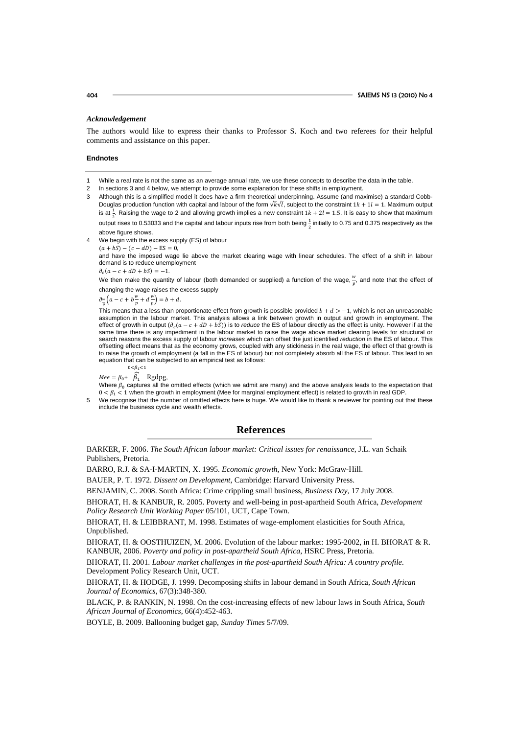#### *Acknowledgement*

The authors would like to express their thanks to Professor S. Koch and two referees for their helpful comments and assistance on this paper.

#### **Endnotes**

- 2 In sections 3 and 4 below, we attempt to provide some explanation for these shifts in employment.
- 3 Although this is a simplified model it does have a firm theoretical underpinning. Assume (and maximise) a standard Cobb-Douglas production function with capital and labour of the form  $\sqrt{k}\sqrt{l}$ , subject to the constraint  $1k+1l=1$ . Maximum output is at  $\frac{1}{2}$ . Raising the wage to 2 and allowing growth implies a new constraint 1 $k + 2l = 1.5$ . It is easy to show that maximum output rises to 0.53033 and the capital and labour inputs rise from both being  $\frac{1}{2}$  initially to 0.75 and 0.375 respectively as the above figure shows.

4 We begin with the excess supply (ES) of labour

 $(a + bS) - (c - dD) - ES = 0.$ 

and have the imposed wage lie above the market clearing wage with linear schedules. The effect of a shift in labour demand is to reduce unemployment

 $\partial_c(a - c + dD + bS) = -1.$ We then make the quantity of labour (both demanded or supplied) a function of the wage,  $\frac{w}{p}$ , and note that the effect of changing the wage raises the excess supply

 $\frac{\partial w}{p}\left(a-c+b\frac{w}{p}+d\frac{w}{p}\right)=b+d.$ 

This means that a less than proportionate effect from growth is possible provided  $b + d > -1$ , which is not an unreasonable assumption in the labour market. This analysis allows a link between growth in output and growth in employment. The effect of growth in output  $(\partial_c(a - c + dD + bS))$  is to *reduce* the ES of labour directly as the effect is unity. However if at the same time there is any impediment in the labour market to raise the wage above market clearing levels for structural or search reasons the excess supply of labour *increases* which can offset the just identified *reduction* in the ES of labour. This offsetting effect means that as the economy grows, coupled with any stickiness in the real wage, the effect of that growth is to raise the growth of employment (a fall in the ES of labour) but not completely absorb all the ES of labour. This lead to an equation that can be subjected to an empirical test as follows:

 $Mee = \beta_0 + \beta_1$  Rgdpg,  $0 < \beta_1 < 1$ 

Where  $\beta_0$  captures all the omitted effects (which we admit are many) and the above analysis leads to the expectation that  $0 < \beta_1 < 1$  when the growth in employment (Mee for marginal employment effect) is related to growth in real GDP.

5 We recognise that the number of omitted effects here is huge. We would like to thank a reviewer for pointing out that these include the business cycle and wealth effects.

#### **References**

BARKER, F. 2006. *The South African labour market: Critical issues for renaissance*, J.L. van Schaik Publishers, Pretoria.

BARRO, R.J. & SA-I-MARTIN, X. 1995. *Economic growth*, New York: McGraw-Hill.

BAUER, P. T. 1972. *Dissent on Development*, Cambridge: Harvard University Press.

BENJAMIN, C. 2008. South Africa: Crime crippling small business, *Business Day*, 17 July 2008.

BHORAT, H. & KANBUR, R. 2005. Poverty and well-being in post-apartheid South Africa, *Development Policy Research Unit Working Paper* 05/101, UCT, Cape Town.

BHORAT, H. & LEIBBRANT, M. 1998. Estimates of wage-emploment elasticities for South Africa, Unpublished.

BHORAT, H. & OOSTHUIZEN, M. 2006. Evolution of the labour market: 1995-2002, in H. BHORAT & R. KANBUR, 2006. *Poverty and policy in post-apartheid South Africa*, HSRC Press, Pretoria.

BHORAT, H. 2001. *Labour market challenges in the post-apartheid South Africa: A country profile*. Development Policy Research Unit, UCT.

BHORAT, H. & HODGE, J. 1999. Decomposing shifts in labour demand in South Africa, *South African Journal of Economics*, 67(3):348-380.

BLACK, P. & RANKIN, N. 1998. On the cost-increasing effects of new labour laws in South Africa, *South African Journal of Economics*, 66(4):452-463.

BOYLE, B. 2009. Ballooning budget gap, *Sunday Times* 5/7/09.

While a real rate is not the same as an average annual rate, we use these concepts to describe the data in the table.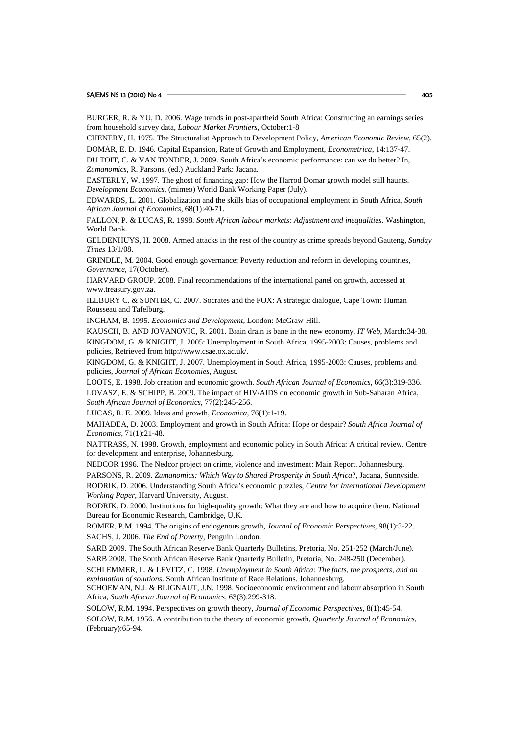| BURGER, R. & YU, D. 2006. Wage trends in post-apartheid South Africa: Constructing an earnings series<br>from household survey data, Labour Market Frontiers, October:1-8 |
|---------------------------------------------------------------------------------------------------------------------------------------------------------------------------|
| CHENERY, H. 1975. The Structuralist Approach to Development Policy, American Economic Review, 65(2).                                                                      |
| DOMAR, E. D. 1946. Capital Expansion, Rate of Growth and Employment, Econometrica, 14:137-47.                                                                             |
| DU TOIT, C. & VAN TONDER, J. 2009. South Africa's economic performance: can we do better? In,                                                                             |
| Zumanomics, R. Parsons, (ed.) Auckland Park: Jacana.                                                                                                                      |
| EASTERLY, W. 1997. The ghost of financing gap: How the Harrod Domar growth model still haunts.                                                                            |
| Development Economics, (mimeo) World Bank Working Paper (July).                                                                                                           |
| EDWARDS, L. 2001. Globalization and the skills bias of occupational employment in South Africa, South                                                                     |
| African Journal of Economics, 68(1):40-71.                                                                                                                                |
| FALLON, P. & LUCAS, R. 1998. South African labour markets: Adjustment and inequalities. Washington,<br>World Bank.                                                        |
| GELDENHUYS, H. 2008. Armed attacks in the rest of the country as crime spreads beyond Gauteng, Sunday<br><i>Times</i> 13/1/08.                                            |
| GRINDLE, M. 2004. Good enough governance: Poverty reduction and reform in developing countries,                                                                           |
| Governance, 17(October).                                                                                                                                                  |
| HARVARD GROUP. 2008. Final recommendations of the international panel on growth, accessed at                                                                              |
| www.treasury.gov.za.                                                                                                                                                      |
| ILLBURY C. & SUNTER, C. 2007. Socrates and the FOX: A strategic dialogue, Cape Town: Human                                                                                |
| Rousseau and Tafelburg.                                                                                                                                                   |
| INGHAM, B. 1995. Economics and Development, London: McGraw-Hill.                                                                                                          |
| KAUSCH, B. AND JOVANOVIC, R. 2001. Brain drain is bane in the new economy, IT Web, March:34-38.                                                                           |
| KINGDOM, G. & KNIGHT, J. 2005: Unemployment in South Africa, 1995-2003: Causes, problems and                                                                              |
| policies, Retrieved from http://www.csae.ox.ac.uk/.                                                                                                                       |
| KINGDOM, G. & KNIGHT, J. 2007. Unemployment in South Africa, 1995-2003: Causes, problems and                                                                              |
| policies, Journal of African Economies, August.                                                                                                                           |
| LOOTS, E. 1998. Job creation and economic growth. South African Journal of Economics, 66(3):319-336.                                                                      |
| LOVASZ, E. & SCHIPP, B. 2009. The impact of HIV/AIDS on economic growth in Sub-Saharan Africa,<br>South African Journal of Economics, 77(2):245-256.                      |
| LUCAS, R. E. 2009. Ideas and growth, Economica, 76(1):1-19.                                                                                                               |
| MAHADEA, D. 2003. Employment and growth in South Africa: Hope or despair? South Africa Journal of<br>Economics, 71(1):21-48.                                              |
| NATTRASS, N. 1998. Growth, employment and economic policy in South Africa: A critical review. Centre<br>for development and enterprise, Johannesburg.                     |
| NEDCOR 1996. The Nedcor project on crime, violence and investment: Main Report. Johannesburg.                                                                             |
| PARSONS, R. 2009. Zumanomics: Which Way to Shared Prosperity in South Africa?, Jacana, Sunnyside.                                                                         |
| RODRIK, D. 2006. Understanding South Africa's economic puzzles, Centre for International Development<br>Working Paper, Harvard University, August.                        |
| RODRIK, D. 2000. Institutions for high-quality growth: What they are and how to acquire them. National<br>Bureau for Economic Research, Cambridge, U.K.                   |
| ROMER, P.M. 1994. The origins of endogenous growth, Journal of Economic Perspectives, 98(1):3-22.                                                                         |
| SACHS, J. 2006. The End of Poverty, Penguin London.                                                                                                                       |
| SARB 2009. The South African Reserve Bank Quarterly Bulletins, Pretoria, No. 251-252 (March/June).                                                                        |
| SARB 2008. The South African Reserve Bank Quarterly Bulletin, Pretoria, No. 248-250 (December).                                                                           |
| SCHLEMMER, L. & LEVITZ, C. 1998. Unemployment in South Africa: The facts, the prospects, and an                                                                           |
| explanation of solutions. South African Institute of Race Relations. Johannesburg.                                                                                        |
| SCHOEMAN, N.J. & BLIGNAUT, J.N. 1998. Socioeconomic environment and labour absorption in South                                                                            |
| Africa, South African Journal of Economics, 63(3):299-318.                                                                                                                |
| SOLOW, R.M. 1994. Perspectives on growth theory, Journal of Economic Perspectives, 8(1):45-54.                                                                            |
| SOLOW, R.M. 1956. A contribution to the theory of economic growth, Quarterly Journal of Economics,<br>(February): 65-94.                                                  |